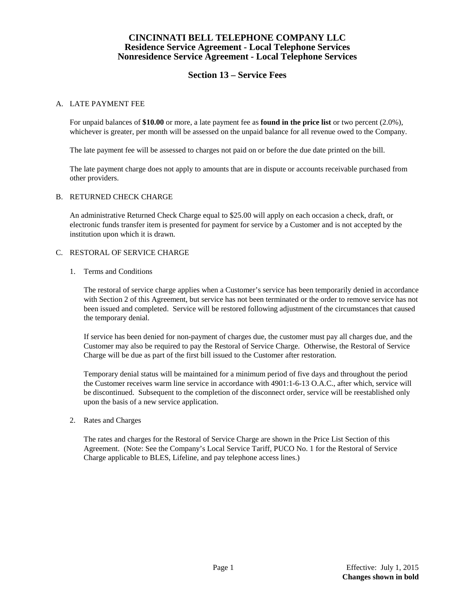## **CINCINNATI BELL TELEPHONE COMPANY LLC Residence Service Agreement - Local Telephone Services Nonresidence Service Agreement - Local Telephone Services**

# **Section 13 – Service Fees**

### A. LATE PAYMENT FEE

For unpaid balances of **\$10.00** or more, a late payment fee as **found in the price list** or two percent (2.0%), whichever is greater, per month will be assessed on the unpaid balance for all revenue owed to the Company.

The late payment fee will be assessed to charges not paid on or before the due date printed on the bill.

The late payment charge does not apply to amounts that are in dispute or accounts receivable purchased from other providers.

### B. RETURNED CHECK CHARGE

An administrative Returned Check Charge equal to \$25.00 will apply on each occasion a check, draft, or electronic funds transfer item is presented for payment for service by a Customer and is not accepted by the institution upon which it is drawn.

### C. RESTORAL OF SERVICE CHARGE

1. Terms and Conditions

The restoral of service charge applies when a Customer's service has been temporarily denied in accordance with Section 2 of this Agreement, but service has not been terminated or the order to remove service has not been issued and completed. Service will be restored following adjustment of the circumstances that caused the temporary denial.

If service has been denied for non-payment of charges due, the customer must pay all charges due, and the Customer may also be required to pay the Restoral of Service Charge. Otherwise, the Restoral of Service Charge will be due as part of the first bill issued to the Customer after restoration.

Temporary denial status will be maintained for a minimum period of five days and throughout the period the Customer receives warm line service in accordance with 4901:1-6-13 O.A.C., after which, service will be discontinued. Subsequent to the completion of the disconnect order, service will be reestablished only upon the basis of a new service application.

2. Rates and Charges

The rates and charges for the Restoral of Service Charge are shown in the Price List Section of this Agreement. (Note: See the Company's Local Service Tariff, PUCO No. 1 for the Restoral of Service Charge applicable to BLES, Lifeline, and pay telephone access lines.)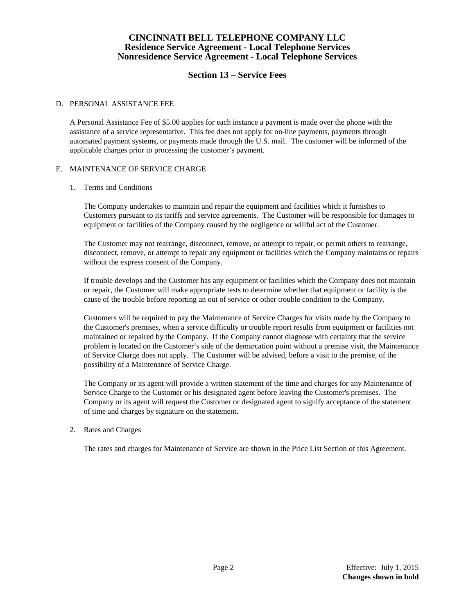## **CINCINNATI BELL TELEPHONE COMPANY LLC Residence Service Agreement - Local Telephone Services Nonresidence Service Agreement - Local Telephone Services**

# **Section 13 – Service Fees**

#### D. PERSONAL ASSISTANCE FEE

A Personal Assistance Fee of \$5.00 applies for each instance a payment is made over the phone with the assistance of a service representative. This fee does not apply for on-line payments, payments through automated payment systems, or payments made through the U.S. mail. The customer will be informed of the applicable charges prior to processing the customer's payment.

### E. MAINTENANCE OF SERVICE CHARGE

#### 1. Terms and Conditions

The Company undertakes to maintain and repair the equipment and facilities which it furnishes to Customers pursuant to its tariffs and service agreements. The Customer will be responsible for damages to equipment or facilities of the Company caused by the negligence or willful act of the Customer.

The Customer may not rearrange, disconnect, remove, or attempt to repair, or permit others to rearrange, disconnect, remove, or attempt to repair any equipment or facilities which the Company maintains or repairs without the express consent of the Company.

If trouble develops and the Customer has any equipment or facilities which the Company does not maintain or repair, the Customer will make appropriate tests to determine whether that equipment or facility is the cause of the trouble before reporting an out of service or other trouble condition to the Company.

Customers will be required to pay the Maintenance of Service Charges for visits made by the Company to the Customer's premises, when a service difficulty or trouble report results from equipment or facilities not maintained or repaired by the Company. If the Company cannot diagnose with certainty that the service problem is located on the Customer's side of the demarcation point without a premise visit, the Maintenance of Service Charge does not apply. The Customer will be advised, before a visit to the premise, of the possibility of a Maintenance of Service Charge.

The Company or its agent will provide a written statement of the time and charges for any Maintenance of Service Charge to the Customer or his designated agent before leaving the Customer's premises. The Company or its agent will request the Customer or designated agent to signify acceptance of the statement of time and charges by signature on the statement.

### 2. Rates and Charges

The rates and charges for Maintenance of Service are shown in the Price List Section of this Agreement.